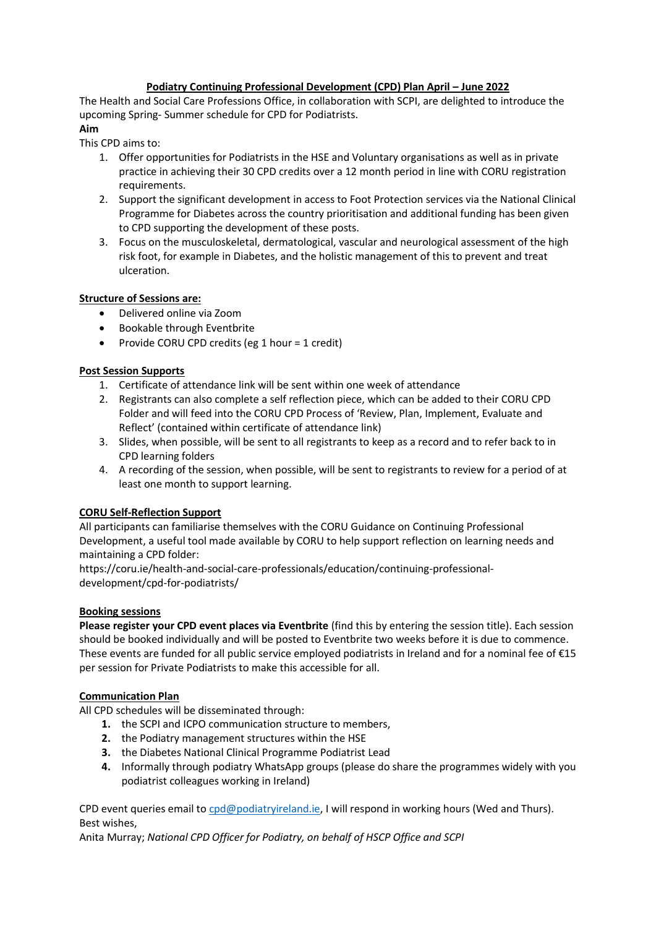## **Podiatry Continuing Professional Development (CPD) Plan April – June 2022**

The Health and Social Care Professions Office, in collaboration with SCPI, are delighted to introduce the upcoming Spring- Summer schedule for CPD for Podiatrists.

# **Aim**

This CPD aims to:

- 1. Offer opportunities for Podiatrists in the HSE and Voluntary organisations as well as in private practice in achieving their 30 CPD credits over a 12 month period in line with CORU registration requirements.
- 2. Support the significant development in access to Foot Protection services via the National Clinical Programme for Diabetes across the country prioritisation and additional funding has been given to CPD supporting the development of these posts.
- 3. Focus on the musculoskeletal, dermatological, vascular and neurological assessment of the high risk foot, for example in Diabetes, and the holistic management of this to prevent and treat ulceration.

## **Structure of Sessions are:**

- Delivered online via Zoom
- Bookable through Eventbrite
- Provide CORU CPD credits (eg 1 hour = 1 credit)

## **Post Session Supports**

- 1. Certificate of attendance link will be sent within one week of attendance
- 2. Registrants can also complete a self reflection piece, which can be added to their CORU CPD Folder and will feed into the CORU CPD Process of 'Review, Plan, Implement, Evaluate and Reflect' (contained within certificate of attendance link)
- 3. Slides, when possible, will be sent to all registrants to keep as a record and to refer back to in CPD learning folders
- 4. A recording of the session, when possible, will be sent to registrants to review for a period of at least one month to support learning.

# **CORU Self-Reflection Support**

All participants can familiarise themselves with the CORU Guidance on Continuing Professional Development, a useful tool made available by CORU to help support reflection on learning needs and maintaining a CPD folder:

https://coru.ie/health-and-social-care-professionals/education/continuing-professionaldevelopment/cpd-for-podiatrists/

#### **Booking sessions**

**Please register your CPD event places via Eventbrite** (find this by entering the session title). Each session should be booked individually and will be posted to Eventbrite two weeks before it is due to commence. These events are funded for all public service employed podiatrists in Ireland and for a nominal fee of €15 per session for Private Podiatrists to make this accessible for all.

# **Communication Plan**

All CPD schedules will be disseminated through:

- **1.** the SCPI and ICPO communication structure to members,
- **2.** the Podiatry management structures within the HSE
- **3.** the Diabetes National Clinical Programme Podiatrist Lead
- **4.** Informally through podiatry WhatsApp groups (please do share the programmes widely with you podiatrist colleagues working in Ireland)

CPD event queries email to cpd@podiatryireland.ie, I will respond in working hours (Wed and Thurs). Best wishes,

Anita Murray; *National CPD Officer for Podiatry, on behalf of HSCP Office and SCPI*